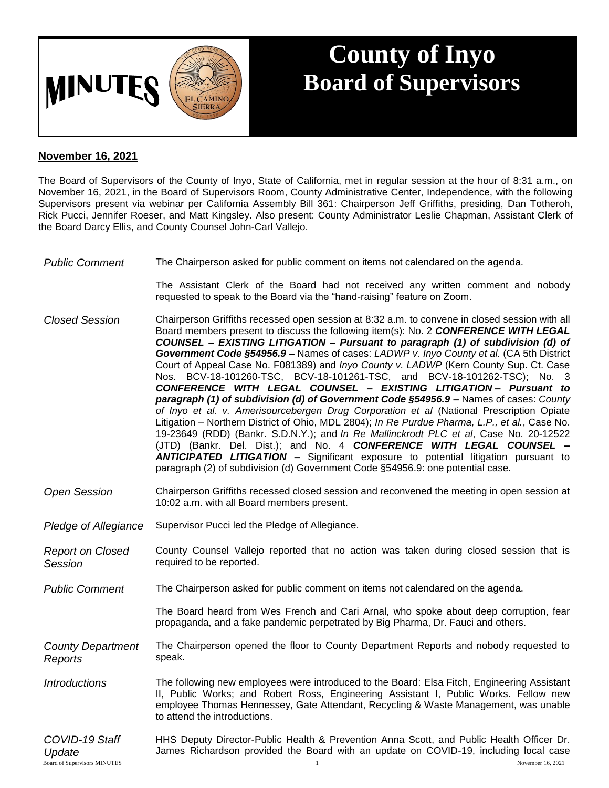

## **County of Inyo Board of Supervisors**

## **November 16, 2021**

The Board of Supervisors of the County of Inyo, State of California, met in regular session at the hour of 8:31 a.m., on November 16, 2021, in the Board of Supervisors Room, County Administrative Center, Independence, with the following Supervisors present via webinar per California Assembly Bill 361: Chairperson Jeff Griffiths, presiding, Dan Totheroh, Rick Pucci, Jennifer Roeser, and Matt Kingsley. Also present: County Administrator Leslie Chapman, Assistant Clerk of the Board Darcy Ellis, and County Counsel John-Carl Vallejo.

*Public Comment* The Chairperson asked for public comment on items not calendared on the agenda.

The Assistant Clerk of the Board had not received any written comment and nobody requested to speak to the Board via the "hand-raising" feature on Zoom.

- *Closed Session* Chairperson Griffiths recessed open session at 8:32 a.m. to convene in closed session with all Board members present to discuss the following item(s): No. 2 *CONFERENCE WITH LEGAL COUNSEL – EXISTING LITIGATION – Pursuant to paragraph (1) of subdivision (d) of Government Code §54956.9 –* Names of cases: *LADWP v. Inyo County et al.* (CA 5th District Court of Appeal Case No. F081389) and *Inyo County v. LADWP* (Kern County Sup. Ct. Case Nos. BCV-18-101260-TSC, BCV-18-101261-TSC, and BCV-18-101262-TSC); No. 3 *CONFERENCE WITH LEGAL COUNSEL – EXISTING LITIGATION – Pursuant to paragraph (1) of subdivision (d) of Government Code §54956.9 –* Names of cases: *County of Inyo et al. v. Amerisourcebergen Drug Corporation et al* (National Prescription Opiate Litigation – Northern District of Ohio, MDL 2804); *In Re Purdue Pharma, L.P., et al.*, Case No. 19-23649 (RDD) (Bankr. S.D.N.Y.); and *In Re Mallinckrodt PLC et al*, Case No. 20-12522 (JTD) (Bankr. Del. Dist.); and No. 4 *CONFERENCE WITH LEGAL COUNSEL – ANTICIPATED LITIGATION –* Significant exposure to potential litigation pursuant to paragraph (2) of subdivision (d) Government Code §54956.9: one potential case.
- *Open Session* Chairperson Griffiths recessed closed session and reconvened the meeting in open session at 10:02 a.m. with all Board members present.
- *Pledge of Allegiance* Supervisor Pucci led the Pledge of Allegiance.
- *Report on Closed Session* County Counsel Vallejo reported that no action was taken during closed session that is required to be reported.
- *Public Comment* The Chairperson asked for public comment on items not calendared on the agenda.

The Board heard from Wes French and Cari Arnal, who spoke about deep corruption, fear propaganda, and a fake pandemic perpetrated by Big Pharma, Dr. Fauci and others.

*County Department Reports* The Chairperson opened the floor to County Department Reports and nobody requested to speak.

- *Introductions* The following new employees were introduced to the Board: Elsa Fitch, Engineering Assistant II, Public Works; and Robert Ross, Engineering Assistant I, Public Works. Fellow new employee Thomas Hennessey, Gate Attendant, Recycling & Waste Management, was unable to attend the introductions.
- Board of Supervisors MINUTES 1 November 16, 2021 *COVID-19 Staff Update* HHS Deputy Director-Public Health & Prevention Anna Scott, and Public Health Officer Dr. James Richardson provided the Board with an update on COVID-19, including local case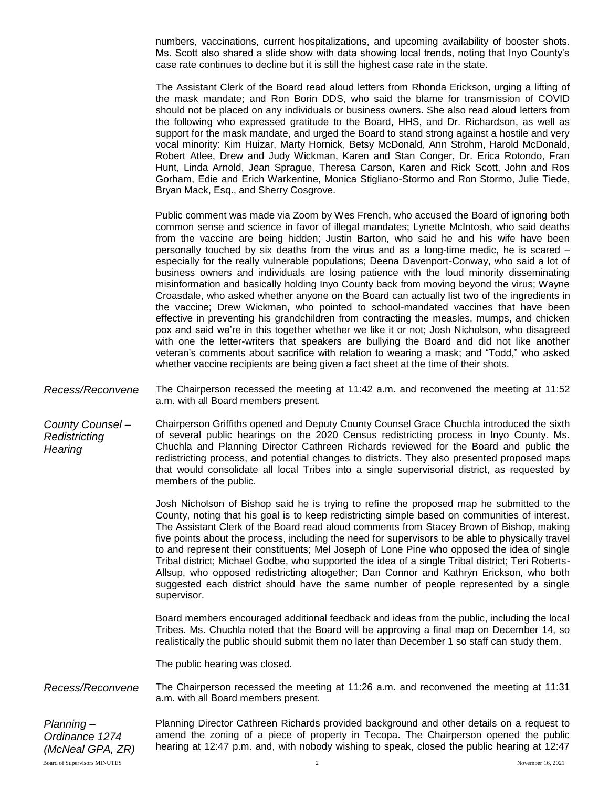numbers, vaccinations, current hospitalizations, and upcoming availability of booster shots. Ms. Scott also shared a slide show with data showing local trends, noting that Inyo County's case rate continues to decline but it is still the highest case rate in the state.

The Assistant Clerk of the Board read aloud letters from Rhonda Erickson, urging a lifting of the mask mandate; and Ron Borin DDS, who said the blame for transmission of COVID should not be placed on any individuals or business owners. She also read aloud letters from the following who expressed gratitude to the Board, HHS, and Dr. Richardson, as well as support for the mask mandate, and urged the Board to stand strong against a hostile and very vocal minority: Kim Huizar, Marty Hornick, Betsy McDonald, Ann Strohm, Harold McDonald, Robert Atlee, Drew and Judy Wickman, Karen and Stan Conger, Dr. Erica Rotondo, Fran Hunt, Linda Arnold, Jean Sprague, Theresa Carson, Karen and Rick Scott, John and Ros Gorham, Edie and Erich Warkentine, Monica Stigliano-Stormo and Ron Stormo, Julie Tiede, Bryan Mack, Esq., and Sherry Cosgrove.

Public comment was made via Zoom by Wes French, who accused the Board of ignoring both common sense and science in favor of illegal mandates; Lynette McIntosh, who said deaths from the vaccine are being hidden; Justin Barton, who said he and his wife have been personally touched by six deaths from the virus and as a long-time medic, he is scared – especially for the really vulnerable populations; Deena Davenport-Conway, who said a lot of business owners and individuals are losing patience with the loud minority disseminating misinformation and basically holding Inyo County back from moving beyond the virus; Wayne Croasdale, who asked whether anyone on the Board can actually list two of the ingredients in the vaccine; Drew Wickman, who pointed to school-mandated vaccines that have been effective in preventing his grandchildren from contracting the measles, mumps, and chicken pox and said we're in this together whether we like it or not; Josh Nicholson, who disagreed with one the letter-writers that speakers are bullying the Board and did not like another veteran's comments about sacrifice with relation to wearing a mask; and "Todd," who asked whether vaccine recipients are being given a fact sheet at the time of their shots.

- *Recess/Reconvene* The Chairperson recessed the meeting at 11:42 a.m. and reconvened the meeting at 11:52 a.m. with all Board members present.
- *County Counsel – Redistricting Hearing* Chairperson Griffiths opened and Deputy County Counsel Grace Chuchla introduced the sixth of several public hearings on the 2020 Census redistricting process in lnyo County. Ms. Chuchla and Planning Director Cathreen Richards reviewed for the Board and public the redistricting process, and potential changes to districts. They also presented proposed maps that would consolidate all local Tribes into a single supervisorial district, as requested by members of the public.

Josh Nicholson of Bishop said he is trying to refine the proposed map he submitted to the County, noting that his goal is to keep redistricting simple based on communities of interest. The Assistant Clerk of the Board read aloud comments from Stacey Brown of Bishop, making five points about the process, including the need for supervisors to be able to physically travel to and represent their constituents; Mel Joseph of Lone Pine who opposed the idea of single Tribal district; Michael Godbe, who supported the idea of a single Tribal district; Teri Roberts-Allsup, who opposed redistricting altogether; Dan Connor and Kathryn Erickson, who both suggested each district should have the same number of people represented by a single supervisor.

Board members encouraged additional feedback and ideas from the public, including the local Tribes. Ms. Chuchla noted that the Board will be approving a final map on December 14, so realistically the public should submit them no later than December 1 so staff can study them.

The public hearing was closed.

*Recess/Reconvene* The Chairperson recessed the meeting at 11:26 a.m. and reconvened the meeting at 11:31 a.m. with all Board members present.

Board of Supervisors MINUTES 2 November 16, 2021 *Planning – Ordinance 1274 (McNeal GPA, ZR)*

Planning Director Cathreen Richards provided background and other details on a request to amend the zoning of a piece of property in Tecopa. The Chairperson opened the public hearing at 12:47 p.m. and, with nobody wishing to speak, closed the public hearing at 12:47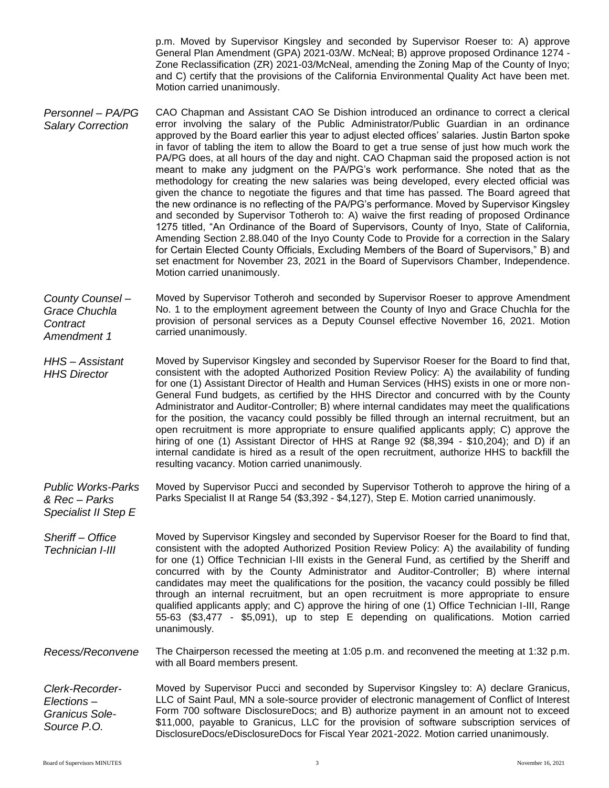p.m. Moved by Supervisor Kingsley and seconded by Supervisor Roeser to: A) approve General Plan Amendment (GPA) 2021-03/W. McNeal; B) approve proposed Ordinance 1274 - Zone Reclassification (ZR) 2021-03/McNeal, amending the Zoning Map of the County of Inyo; and C) certify that the provisions of the California Environmental Quality Act have been met. Motion carried unanimously.

- *Personnel – PA/PG Salary Correction* CAO Chapman and Assistant CAO Se Dishion introduced an ordinance to correct a clerical error involving the salary of the Public Administrator/Public Guardian in an ordinance approved by the Board earlier this year to adjust elected offices' salaries. Justin Barton spoke in favor of tabling the item to allow the Board to get a true sense of just how much work the PA/PG does, at all hours of the day and night. CAO Chapman said the proposed action is not meant to make any judgment on the PA/PG's work performance. She noted that as the methodology for creating the new salaries was being developed, every elected official was given the chance to negotiate the figures and that time has passed. The Board agreed that the new ordinance is no reflecting of the PA/PG's performance. Moved by Supervisor Kingsley and seconded by Supervisor Totheroh to: A) waive the first reading of proposed Ordinance 1275 titled, "An Ordinance of the Board of Supervisors, County of Inyo, State of California, Amending Section 2.88.040 of the Inyo County Code to Provide for a correction in the Salary for Certain Elected County Officials, Excluding Members of the Board of Supervisors," B) and set enactment for November 23, 2021 in the Board of Supervisors Chamber, Independence. Motion carried unanimously.
- *County Counsel – Grace Chuchla Contract Amendment 1* Moved by Supervisor Totheroh and seconded by Supervisor Roeser to approve Amendment No. 1 to the employment agreement between the County of Inyo and Grace Chuchla for the provision of personal services as a Deputy Counsel effective November 16, 2021. Motion carried unanimously.
- *HHS – Assistant HHS Director* Moved by Supervisor Kingsley and seconded by Supervisor Roeser for the Board to find that, consistent with the adopted Authorized Position Review Policy: A) the availability of funding for one (1) Assistant Director of Health and Human Services (HHS) exists in one or more non-General Fund budgets, as certified by the HHS Director and concurred with by the County Administrator and Auditor-Controller; B) where internal candidates may meet the qualifications for the position, the vacancy could possibly be filled through an internal recruitment, but an open recruitment is more appropriate to ensure qualified applicants apply; C) approve the hiring of one (1) Assistant Director of HHS at Range 92 (\$8,394 - \$10,204); and D) if an internal candidate is hired as a result of the open recruitment, authorize HHS to backfill the resulting vacancy. Motion carried unanimously.

*Public Works-Parks & Rec – Parks*  Moved by Supervisor Pucci and seconded by Supervisor Totheroh to approve the hiring of a Parks Specialist II at Range 54 (\$3,392 - \$4,127), Step E. Motion carried unanimously.

*Sheriff – Office Technician I-III* Moved by Supervisor Kingsley and seconded by Supervisor Roeser for the Board to find that, consistent with the adopted Authorized Position Review Policy: A) the availability of funding for one (1) Office Technician I-III exists in the General Fund, as certified by the Sheriff and concurred with by the County Administrator and Auditor-Controller; B) where internal candidates may meet the qualifications for the position, the vacancy could possibly be filled through an internal recruitment, but an open recruitment is more appropriate to ensure qualified applicants apply; and C) approve the hiring of one (1) Office Technician I-III, Range 55-63 (\$3,477 - \$5,091), up to step E depending on qualifications. Motion carried unanimously.

*Recess/Reconvene* The Chairperson recessed the meeting at 1:05 p.m. and reconvened the meeting at 1:32 p.m. with all Board members present.

*Clerk-Recorder-Elections – Granicus Sole-Source P.O.* Moved by Supervisor Pucci and seconded by Supervisor Kingsley to: A) declare Granicus, LLC of Saint Paul, MN a sole-source provider of electronic management of Conflict of Interest Form 700 software DisclosureDocs; and B) authorize payment in an amount not to exceed \$11,000, payable to Granicus, LLC for the provision of software subscription services of DisclosureDocs/eDisclosureDocs for Fiscal Year 2021-2022. Motion carried unanimously.

*Specialist II Step E*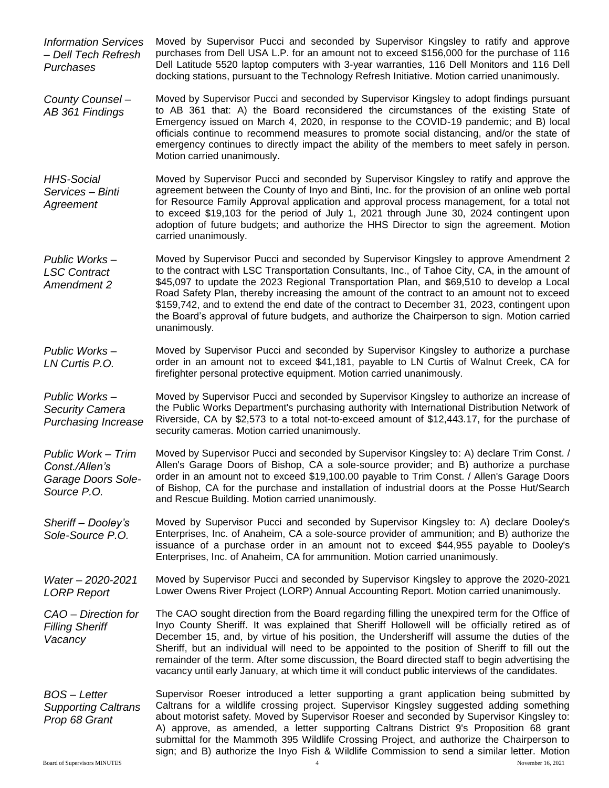*Information Services – Dell Tech Refresh Purchases* Moved by Supervisor Pucci and seconded by Supervisor Kingsley to ratify and approve purchases from Dell USA L.P. for an amount not to exceed \$156,000 for the purchase of 116 Dell Latitude 5520 laptop computers with 3-year warranties, 116 Dell Monitors and 116 Dell docking stations, pursuant to the Technology Refresh Initiative. Motion carried unanimously.

*County Counsel – AB 361 Findings* Moved by Supervisor Pucci and seconded by Supervisor Kingsley to adopt findings pursuant to AB 361 that: A) the Board reconsidered the circumstances of the existing State of Emergency issued on March 4, 2020, in response to the COVID-19 pandemic; and B) local officials continue to recommend measures to promote social distancing, and/or the state of emergency continues to directly impact the ability of the members to meet safely in person. Motion carried unanimously.

*HHS-Social Services – Binti Agreement* Moved by Supervisor Pucci and seconded by Supervisor Kingsley to ratify and approve the agreement between the County of Inyo and Binti, Inc. for the provision of an online web portal for Resource Family Approval application and approval process management, for a total not to exceed \$19,103 for the period of July 1, 2021 through June 30, 2024 contingent upon adoption of future budgets; and authorize the HHS Director to sign the agreement. Motion carried unanimously.

*Public Works – LSC Contract Amendment 2* Moved by Supervisor Pucci and seconded by Supervisor Kingsley to approve Amendment 2 to the contract with LSC Transportation Consultants, Inc., of Tahoe City, CA, in the amount of \$45,097 to update the 2023 Regional Transportation Plan, and \$69,510 to develop a Local Road Safety Plan, thereby increasing the amount of the contract to an amount not to exceed \$159,742, and to extend the end date of the contract to December 31, 2023, contingent upon the Board's approval of future budgets, and authorize the Chairperson to sign. Motion carried unanimously.

*Public Works – LN Curtis P.O.* Moved by Supervisor Pucci and seconded by Supervisor Kingsley to authorize a purchase order in an amount not to exceed \$41,181, payable to LN Curtis of Walnut Creek, CA for firefighter personal protective equipment. Motion carried unanimously.

*Public Works – Security Camera Purchasing Increase* Moved by Supervisor Pucci and seconded by Supervisor Kingsley to authorize an increase of the Public Works Department's purchasing authority with International Distribution Network of Riverside, CA by \$2,573 to a total not-to-exceed amount of \$12,443.17, for the purchase of security cameras. Motion carried unanimously.

*Public Work – Trim Const./Allen's Garage Doors Sole-Source P.O.* Moved by Supervisor Pucci and seconded by Supervisor Kingsley to: A) declare Trim Const. / Allen's Garage Doors of Bishop, CA a sole-source provider; and B) authorize a purchase order in an amount not to exceed \$19,100.00 payable to Trim Const. / Allen's Garage Doors of Bishop, CA for the purchase and installation of industrial doors at the Posse Hut/Search and Rescue Building. Motion carried unanimously.

*Sheriff – Dooley's Sole-Source P.O.* Moved by Supervisor Pucci and seconded by Supervisor Kingsley to: A) declare Dooley's Enterprises, Inc. of Anaheim, CA a sole-source provider of ammunition; and B) authorize the issuance of a purchase order in an amount not to exceed \$44,955 payable to Dooley's Enterprises, Inc. of Anaheim, CA for ammunition. Motion carried unanimously.

*Water – 2020-2021 LORP Report* Moved by Supervisor Pucci and seconded by Supervisor Kingsley to approve the 2020-2021 Lower Owens River Project (LORP) Annual Accounting Report. Motion carried unanimously.

*CAO – Direction for Filling Sheriff Vacancy* The CAO sought direction from the Board regarding filling the unexpired term for the Office of Inyo County Sheriff. It was explained that Sheriff Hollowell will be officially retired as of December 15, and, by virtue of his position, the Undersheriff will assume the duties of the Sheriff, but an individual will need to be appointed to the position of Sheriff to fill out the remainder of the term. After some discussion, the Board directed staff to begin advertising the vacancy until early January, at which time it will conduct public interviews of the candidates.

*BOS – Letter Supporting Caltrans Prop 68 Grant* Supervisor Roeser introduced a letter supporting a grant application being submitted by Caltrans for a wildlife crossing project. Supervisor Kingsley suggested adding something about motorist safety. Moved by Supervisor Roeser and seconded by Supervisor Kingsley to: A) approve, as amended, a letter supporting Caltrans District 9's Proposition 68 grant submittal for the Mammoth 395 Wildlife Crossing Project, and authorize the Chairperson to sign; and B) authorize the Inyo Fish & Wildlife Commission to send a similar letter. Motion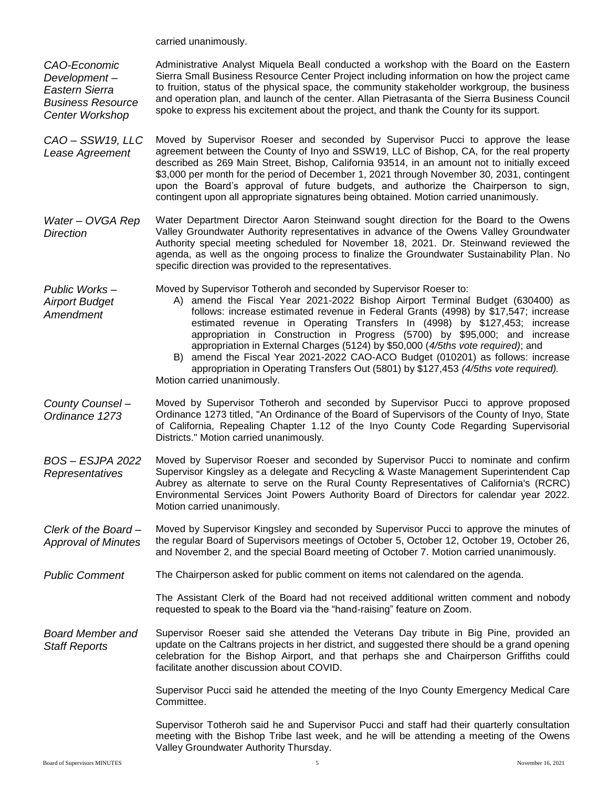carried unanimously.

*CAO-Economic Development – Eastern Sierra Business Resource Center Workshop* Administrative Analyst Miquela Beall conducted a workshop with the Board on the Eastern Sierra Small Business Resource Center Project including information on how the project came to fruition, status of the physical space, the community stakeholder workgroup, the business and operation plan, and launch of the center. Allan Pietrasanta of the Sierra Business Council spoke to express his excitement about the project, and thank the County for its support.

- *CAO – SSW19, LLC Lease Agreement* Moved by Supervisor Roeser and seconded by Supervisor Pucci to approve the lease agreement between the County of Inyo and SSW19, LLC of Bishop, CA, for the real property described as 269 Main Street, Bishop, California 93514, in an amount not to initially exceed \$3,000 per month for the period of December 1, 2021 through November 30, 2031, contingent upon the Board's approval of future budgets, and authorize the Chairperson to sign, contingent upon all appropriate signatures being obtained. Motion carried unanimously.
- *Water – OVGA Rep Direction* Water Department Director Aaron Steinwand sought direction for the Board to the Owens Valley Groundwater Authority representatives in advance of the Owens Valley Groundwater Authority special meeting scheduled for November 18, 2021. Dr. Steinwand reviewed the agenda, as well as the ongoing process to finalize the Groundwater Sustainability Plan. No specific direction was provided to the representatives.

*Public Works – Airport Budget Amendment*

Moved by Supervisor Totheroh and seconded by Supervisor Roeser to:

- A) amend the Fiscal Year 2021-2022 Bishop Airport Terminal Budget (630400) as follows: increase estimated revenue in Federal Grants (4998) by \$17,547; increase estimated revenue in Operating Transfers In (4998) by \$127,453; increase appropriation in Construction in Progress (5700) by \$95,000; and increase appropriation in External Charges (5124) by \$50,000 (*4/5ths vote required)*; and
- B) amend the Fiscal Year 2021-2022 CAO-ACO Budget (010201) as follows: increase appropriation in Operating Transfers Out (5801) by \$127,453 *(4/5ths vote required).* Motion carried unanimously.
- *County Counsel – Ordinance 1273* Moved by Supervisor Totheroh and seconded by Supervisor Pucci to approve proposed Ordinance 1273 titled, "An Ordinance of the Board of Supervisors of the County of Inyo, State of California, Repealing Chapter 1.12 of the Inyo County Code Regarding Supervisorial Districts." Motion carried unanimously.
- *BOS – ESJPA 2022 Representatives* Moved by Supervisor Roeser and seconded by Supervisor Pucci to nominate and confirm Supervisor Kingsley as a delegate and Recycling & Waste Management Superintendent Cap Aubrey as alternate to serve on the Rural County Representatives of California's (RCRC) Environmental Services Joint Powers Authority Board of Directors for calendar year 2022. Motion carried unanimously.
- *Clerk of the Board – Approval of Minutes* Moved by Supervisor Kingsley and seconded by Supervisor Pucci to approve the minutes of the regular Board of Supervisors meetings of October 5, October 12, October 19, October 26, and November 2, and the special Board meeting of October 7. Motion carried unanimously.
- *Public Comment* The Chairperson asked for public comment on items not calendared on the agenda.

The Assistant Clerk of the Board had not received additional written comment and nobody requested to speak to the Board via the "hand-raising" feature on Zoom.

*Board Member and Staff Reports* Supervisor Roeser said she attended the Veterans Day tribute in Big Pine, provided an update on the Caltrans projects in her district, and suggested there should be a grand opening celebration for the Bishop Airport, and that perhaps she and Chairperson Griffiths could facilitate another discussion about COVID.

> Supervisor Pucci said he attended the meeting of the Inyo County Emergency Medical Care Committee.

> Supervisor Totheroh said he and Supervisor Pucci and staff had their quarterly consultation meeting with the Bishop Tribe last week, and he will be attending a meeting of the Owens Valley Groundwater Authority Thursday.